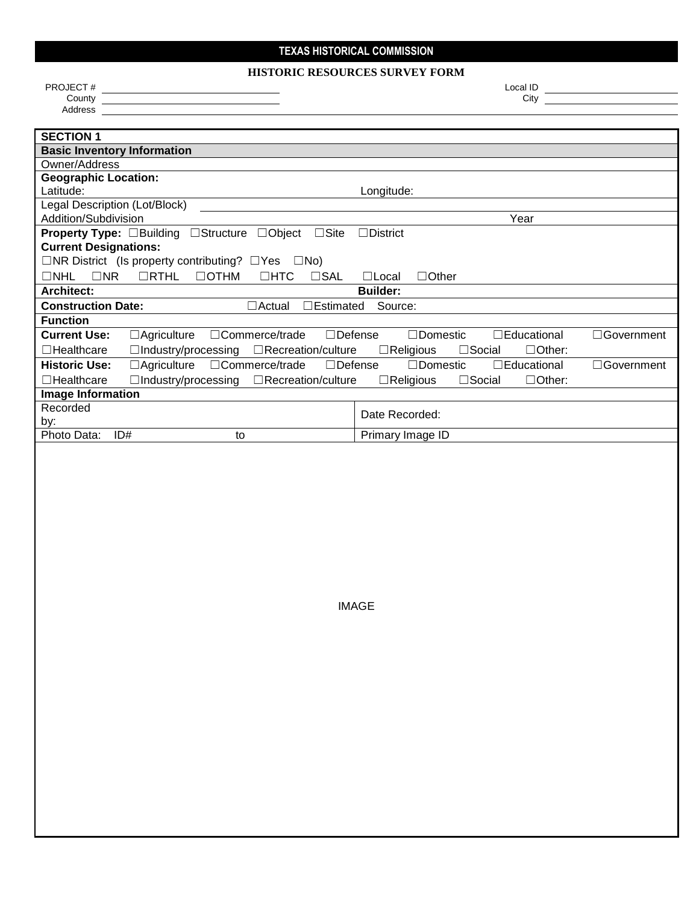### **TEXAS HISTORICAL COMMISSION**

#### **HISTORIC RESOURCES SURVEY FORM**

PROJECT # Local ID

**County** City **County City** 

Address

IMAGE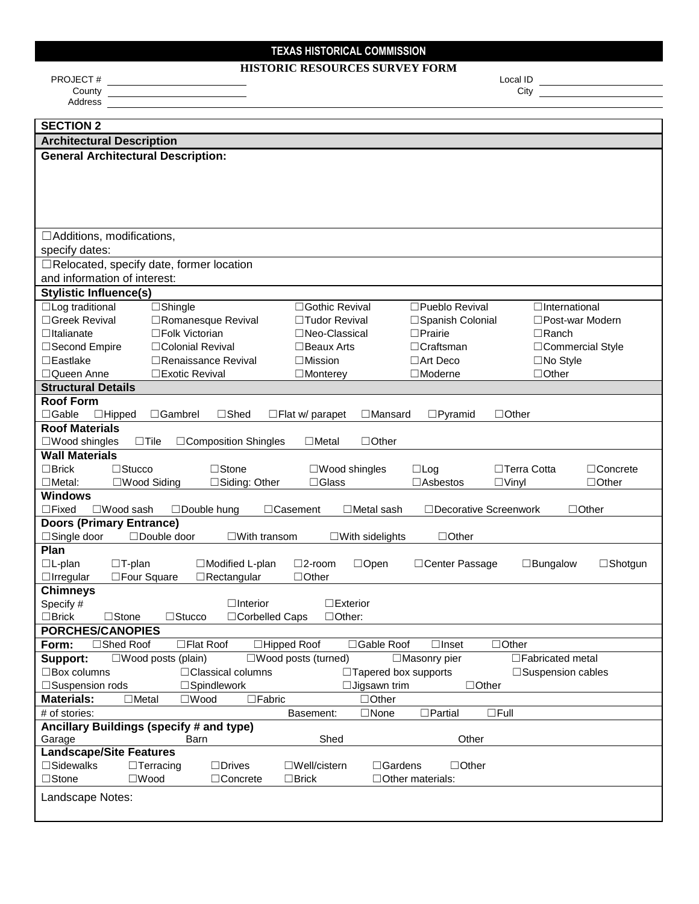# **TEXAS HISTORICAL COMMISSION**

### **HISTORIC RESOURCES SURVEY FORM**

| <b>PROJECT#</b><br>Local ID                                                                                                                        |  |  |  |  |
|----------------------------------------------------------------------------------------------------------------------------------------------------|--|--|--|--|
| County<br>City                                                                                                                                     |  |  |  |  |
| Address                                                                                                                                            |  |  |  |  |
| <b>SECTION 2</b>                                                                                                                                   |  |  |  |  |
| <b>Architectural Description</b>                                                                                                                   |  |  |  |  |
| <b>General Architectural Description:</b>                                                                                                          |  |  |  |  |
|                                                                                                                                                    |  |  |  |  |
|                                                                                                                                                    |  |  |  |  |
|                                                                                                                                                    |  |  |  |  |
|                                                                                                                                                    |  |  |  |  |
|                                                                                                                                                    |  |  |  |  |
| $\Box$ Additions, modifications,                                                                                                                   |  |  |  |  |
| specify dates:                                                                                                                                     |  |  |  |  |
| $\Box$ Relocated, specify date, former location                                                                                                    |  |  |  |  |
| and information of interest:                                                                                                                       |  |  |  |  |
| <b>Stylistic Influence(s)</b>                                                                                                                      |  |  |  |  |
| $\Box$ Log traditional<br>$\Box$ Shingle<br>□Pueblo Revival<br>□Gothic Revival<br>$\Box$ International                                             |  |  |  |  |
| □Greek Revival<br>□Romanesque Revival<br>□Tudor Revival<br>□Spanish Colonial<br>□Post-war Modern                                                   |  |  |  |  |
| $\Box$ Italianate<br>$\Box$ Folk Victorian<br>□Neo-Classical<br>$\Box$ Prairie<br>$\Box$ Ranch                                                     |  |  |  |  |
| □Colonial Revival<br>$\Box$ Craftsman<br>□Commercial Style<br>□Second Empire<br>$\Box$ Beaux Arts                                                  |  |  |  |  |
| $\Box$ Eastlake<br>$\Box$ Mission<br>$\Box$ Art Deco<br>$\Box$ No Style<br>$\Box$ Renaissance Revival                                              |  |  |  |  |
| □Queen Anne<br>□Exotic Revival<br>$\Box$ Moderne<br>$\Box$ Other<br>$\Box$ Monterey                                                                |  |  |  |  |
| <b>Structural Details</b>                                                                                                                          |  |  |  |  |
| <b>Roof Form</b>                                                                                                                                   |  |  |  |  |
| $\Box$ Gable<br>$\Box$ Hipped<br>$\Box$ Shed<br>$\Box$ Mansard<br>$\square$ Pyramid<br>$\Box$ Other<br>$\Box$ Gambrel<br>$\Box$ Flat w/ parapet    |  |  |  |  |
| <b>Roof Materials</b>                                                                                                                              |  |  |  |  |
| $\Box$ Other<br>$\square$ Wood shingles<br>$\Box$ Tile<br>□Composition Shingles<br>$\Box$ Metal                                                    |  |  |  |  |
| <b>Wall Materials</b>                                                                                                                              |  |  |  |  |
| $\Box$ Brick<br>$\Box$ Stucco<br>$\Box$ Stone<br>$\Box$ Concrete<br>$\square$ Wood shingles<br>$\Box$ Log<br>$\Box$ Terra Cotta                    |  |  |  |  |
| □Wood Siding<br>□Siding: Other<br>$\Box$ Glass<br>□Asbestos<br>$\Box$ Other<br>$\Box$ Metal:<br>$\Box$ Vinyl                                       |  |  |  |  |
| <b>Windows</b>                                                                                                                                     |  |  |  |  |
| $\Box$ Fixed<br>□Wood sash<br>□ Decorative Screenwork<br>□Double hung<br>$\Box$ Casement<br>$\Box$ Metal sash<br>$\Box$ Other                      |  |  |  |  |
| <b>Doors (Primary Entrance)</b>                                                                                                                    |  |  |  |  |
| $\Box$ Single door<br>□Double door<br>$\Box$ Other<br>$\square$ With transom<br>$\square$ With sidelights                                          |  |  |  |  |
| Plan                                                                                                                                               |  |  |  |  |
| $\Box L$ -plan<br>$\Box$ T-plan<br>□Modified L-plan<br>$\square$ 2-room<br>□ Center Passage<br>$\square$ Shotgun<br>$\Box$ Open<br>$\Box$ Bungalow |  |  |  |  |
| □Four Square<br>$\Box$ Irregular<br>$\Box$ Rectangular<br>$\Box$ Other                                                                             |  |  |  |  |
| <b>Chimneys</b>                                                                                                                                    |  |  |  |  |
| Specify #<br>$\Box$ Interior<br>$\Box$ Exterior                                                                                                    |  |  |  |  |
| $\Box$ Brick<br>$\Box$ Stucco<br>□Corbelled Caps<br>$\Box$ Other:<br>$\Box$ Stone                                                                  |  |  |  |  |
| <b>PORCHES/CANOPIES</b>                                                                                                                            |  |  |  |  |
| □Shed Roof<br>□Hipped Roof<br>Form:<br>□Flat Roof<br>□Gable Roof<br>$\Box$ Inset<br>$\Box$ Other                                                   |  |  |  |  |
| Support:<br>$\square$ Wood posts (plain)<br>$\square$ Wood posts (turned)<br>□Masonry pier<br>$\Box$ Fabricated metal                              |  |  |  |  |
| $\Box$ Box columns<br>□ Classical columns<br>$\Box$ Tapered box supports<br>□Suspension cables                                                     |  |  |  |  |
| □Spindlework<br>$\Box$ Jigsawn trim<br>□Suspension rods<br>$\Box$ Other                                                                            |  |  |  |  |
| $\square$ Fabric<br><b>Materials:</b><br>$\Box$ Metal<br>$\square$ Wood<br>$\Box$ Other                                                            |  |  |  |  |
| # of stories:<br>$\Box$ None<br>$\Box$ Partial<br>$\Box$ Full<br>Basement:<br>Ancillary Buildings (specify # and type)                             |  |  |  |  |
| Shed<br>Other<br>Garage<br>Barn                                                                                                                    |  |  |  |  |
| <b>Landscape/Site Features</b>                                                                                                                     |  |  |  |  |
| $\square$ Sidewalks<br>$\Box$ Terracing<br>$\Box$ Drives<br>$\square$ Well/cistern<br>$\Box$ Gardens<br>$\Box$ Other                               |  |  |  |  |
| $\Box$ Stone<br>$\square$ Wood<br>□Concrete<br>$\Box$ Brick<br>$\Box$ Other materials:                                                             |  |  |  |  |
|                                                                                                                                                    |  |  |  |  |
| Landscape Notes:                                                                                                                                   |  |  |  |  |